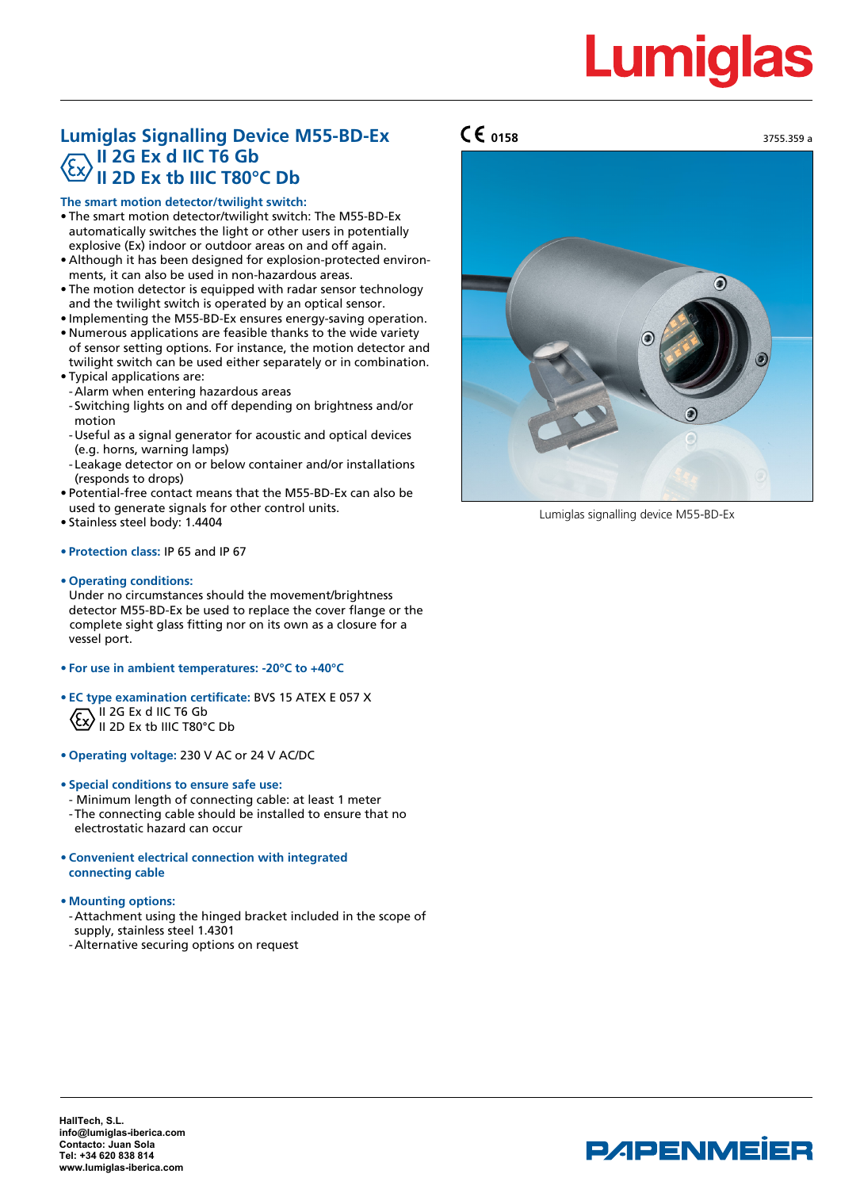# **Lumiglas**

## **Lumiglas Signalling Device M55-BD-Ex II 2G Ex d IIC T6 Gb II 2D Ex tb IIIC T80°C Db**

### **The smart motion detector/twilight switch:**

- The smart motion detector/twilight switch: The M55-BD-Ex automatically switches the light or other users in potentially explosive (Ex) indoor or outdoor areas on and off again.
- Although it has been designed for explosion-protected environments, it can also be used in non-hazardous areas.
- The motion detector is equipped with radar sensor technology and the twilight switch is operated by an optical sensor.
- Implementing the M55-BD-Ex ensures energy-saving operation.
- Numerous applications are feasible thanks to the wide variety of sensor setting options. For instance, the motion detector and twilight switch can be used either separately or in combination. • Typical applications are:
- -Alarm when entering hazardous areas
- Switching lights on and off depending on brightness and/or motion
- -Useful as a signal generator for acoustic and optical devices (e.g. horns, warning lamps)
- Leakage detector on or below container and/or installations (responds to drops)
- Potential-free contact means that the M55-BD-Ex can also be used to generate signals for other control units.
- Stainless steel body: 1.4404

## **• Protection class:** IP 65 and IP 67

**• Operating conditions:**

Under no circumstances should the movement/brightness detector M55-BD-Ex be used to replace the cover flange or the complete sight glass fitting nor on its own as a closure for a vessel port.

- **• For use in ambient temperatures: -20°C to +40°C**
- **• EC type examination certificate:** BVS 15 ATEX E 057 X  $\sqrt{C}$  II 2G Ex d IIC T6 Gb  $U$  II 2D Ex tb IIIC T80°C Db
- **• Operating voltage:** 230 V AC or 24 V AC/DC
- **• Special conditions to ensure safe use:**
- Minimum length of connecting cable: at least 1 meter
- -The connecting cable should be installed to ensure that no electrostatic hazard can occur
- **• Convenient electrical connection with integrated connecting cable**
- **• Mounting options:**
- -Attachment using the hinged bracket included in the scope of supply, stainless steel 1.4301
- -Alternative securing options on request





Lumiglas signalling device M55-BD-Ex